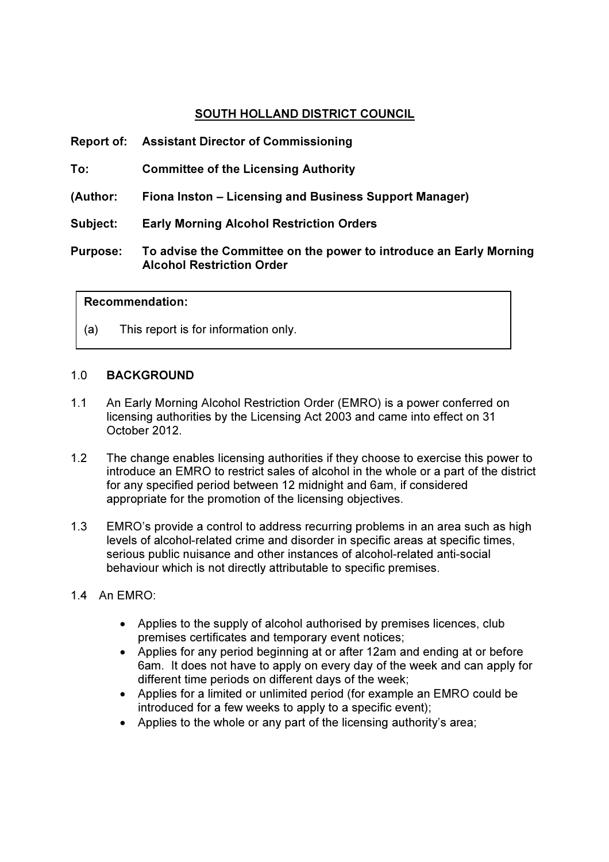# SOUTH HOLLAND DISTRICT COUNCIL

|                 | <b>Report of: Assistant Director of Commissioning</b>                                                  |
|-----------------|--------------------------------------------------------------------------------------------------------|
| To:             | <b>Committee of the Licensing Authority</b>                                                            |
| (Author:        | Fiona Inston – Licensing and Business Support Manager)                                                 |
| Subject:        | <b>Early Morning Alcohol Restriction Orders</b>                                                        |
| <b>Purpose:</b> | To advise the Committee on the power to introduce an Early Morning<br><b>Alcohol Restriction Order</b> |

#### Recommendation:

(a) This report is for information only.

#### 1.0 BACKGROUND

- 1.1 An Early Morning Alcohol Restriction Order (EMRO) is a power conferred on licensing authorities by the Licensing Act 2003 and came into effect on 31 October 2012.
- 1.2 The change enables licensing authorities if they choose to exercise this power to introduce an EMRO to restrict sales of alcohol in the whole or a part of the district for any specified period between 12 midnight and 6am, if considered appropriate for the promotion of the licensing objectives.
- 1.3 EMRO's provide a control to address recurring problems in an area such as high levels of alcohol-related crime and disorder in specific areas at specific times, serious public nuisance and other instances of alcohol-related anti-social behaviour which is not directly attributable to specific premises.
- 1.4 An EMRO:
	- Applies to the supply of alcohol authorised by premises licences, club premises certificates and temporary event notices;
	- Applies for any period beginning at or after 12am and ending at or before 6am. It does not have to apply on every day of the week and can apply for different time periods on different days of the week;
	- Applies for a limited or unlimited period (for example an EMRO could be introduced for a few weeks to apply to a specific event);
	- Applies to the whole or any part of the licensing authority's area;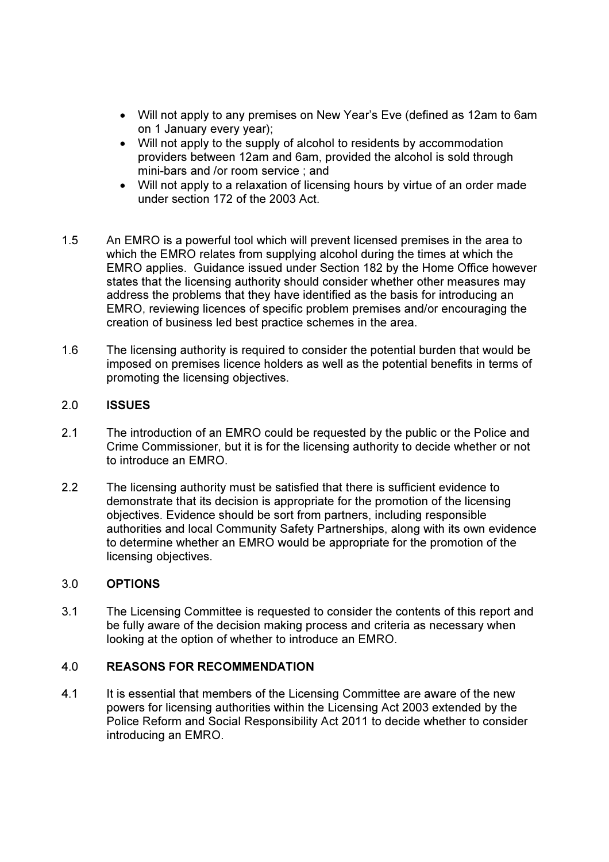- Will not apply to any premises on New Year's Eve (defined as 12am to 6am on 1 January every year);
- Will not apply to the supply of alcohol to residents by accommodation providers between 12am and 6am, provided the alcohol is sold through mini-bars and /or room service ; and
- Will not apply to a relaxation of licensing hours by virtue of an order made under section 172 of the 2003 Act.
- 1.5 An EMRO is a powerful tool which will prevent licensed premises in the area to which the EMRO relates from supplying alcohol during the times at which the EMRO applies. Guidance issued under Section 182 by the Home Office however states that the licensing authority should consider whether other measures may address the problems that they have identified as the basis for introducing an EMRO, reviewing licences of specific problem premises and/or encouraging the creation of business led best practice schemes in the area.
- 1.6 The licensing authority is required to consider the potential burden that would be imposed on premises licence holders as well as the potential benefits in terms of promoting the licensing objectives.

#### 2.0 ISSUES

- 2.1 The introduction of an EMRO could be requested by the public or the Police and Crime Commissioner, but it is for the licensing authority to decide whether or not to introduce an EMRO.
- 2.2 The licensing authority must be satisfied that there is sufficient evidence to demonstrate that its decision is appropriate for the promotion of the licensing objectives. Evidence should be sort from partners, including responsible authorities and local Community Safety Partnerships, along with its own evidence to determine whether an EMRO would be appropriate for the promotion of the licensing objectives.

# 3.0 OPTIONS

3.1 The Licensing Committee is requested to consider the contents of this report and be fully aware of the decision making process and criteria as necessary when looking at the option of whether to introduce an EMRO.

#### 4.0 REASONS FOR RECOMMENDATION

4.1 It is essential that members of the Licensing Committee are aware of the new powers for licensing authorities within the Licensing Act 2003 extended by the Police Reform and Social Responsibility Act 2011 to decide whether to consider introducing an EMRO.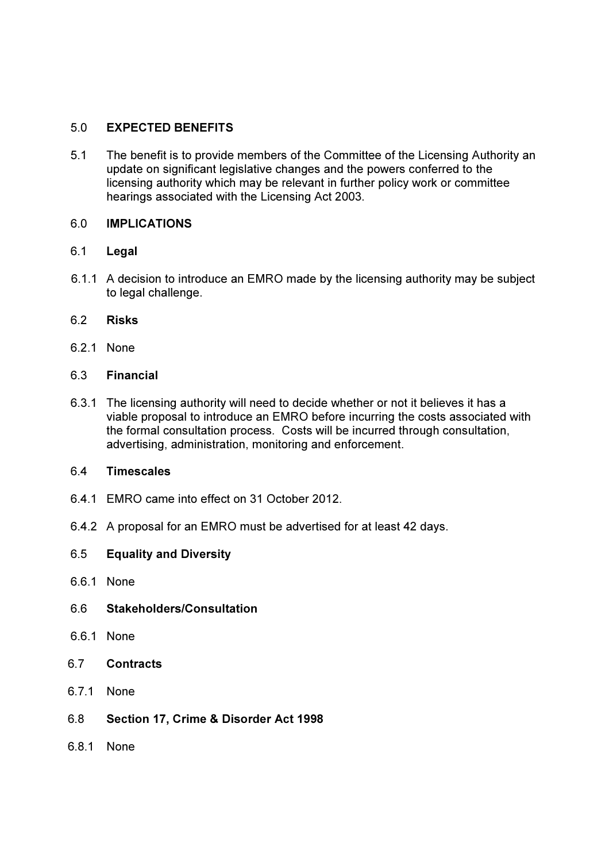# 5.0 EXPECTED BENEFITS

5.1 The benefit is to provide members of the Committee of the Licensing Authority an update on significant legislative changes and the powers conferred to the licensing authority which may be relevant in further policy work or committee hearings associated with the Licensing Act 2003.

# 6.0 IMPLICATIONS

# 6.1 Legal

- 6.1.1 A decision to introduce an EMRO made by the licensing authority may be subject to legal challenge.
- 6.2 Risks
- 6.2.1 None
- 6.3 Financial
- 6.3.1 The licensing authority will need to decide whether or not it believes it has a viable proposal to introduce an EMRO before incurring the costs associated with the formal consultation process. Costs will be incurred through consultation, advertising, administration, monitoring and enforcement.

#### 6.4 Timescales

- 6.4.1 EMRO came into effect on 31 October 2012.
- 6.4.2 A proposal for an EMRO must be advertised for at least 42 days.
- 6.5 Equality and Diversity
- 6.6.1 None
- 6.6 Stakeholders/Consultation
- 6.6.1 None
- 6.7 Contracts
- 6.7.1 None
- 6.8 Section 17, Crime & Disorder Act 1998
- 6.8.1 None